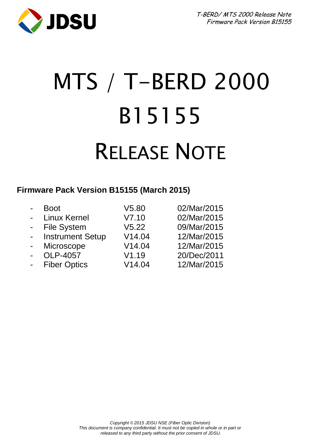

# MTS / T-BERD 2000 B15155 RELEASE NOTE

### **Firmware Pack Version B15155 (March 2015)**

| $\blacksquare$           | <b>Boot</b>             | V5.80  | 02/Mar/2015 |
|--------------------------|-------------------------|--------|-------------|
| $\overline{a}$           | Linux Kernel            | V7.10  | 02/Mar/2015 |
| $\sim 10$                | <b>File System</b>      | V5.22  | 09/Mar/2015 |
| $\sim 10$                | <b>Instrument Setup</b> | V14.04 | 12/Mar/2015 |
| $\sim$                   | Microscope              | V14.04 | 12/Mar/2015 |
| $\overline{\phantom{a}}$ | OLP-4057                | V1.19  | 20/Dec/2011 |
| $\overline{\phantom{a}}$ | <b>Fiber Optics</b>     | V14.04 | 12/Mar/2015 |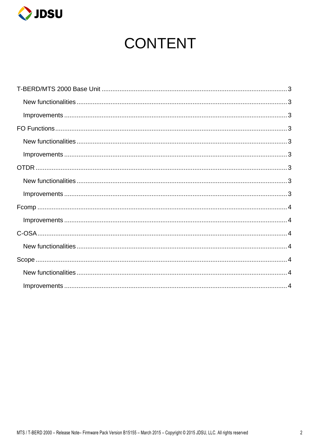

# **CONTENT**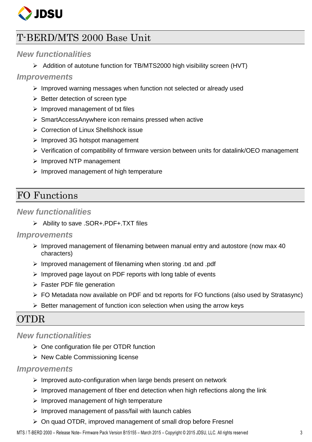

# <span id="page-2-0"></span>T-BERD/MTS 2000 Base Unit

#### <span id="page-2-1"></span>*New functionalities*

Addition of autotune function for TB/MTS2000 high visibility screen (HVT)

#### <span id="page-2-2"></span>*Improvements*

- $\triangleright$  Improved warning messages when function not selected or already used
- $\triangleright$  Better detection of screen type
- $\triangleright$  Improved management of txt files
- SmartAccessAnywhere icon remains pressed when active
- Correction of Linux Shellshock issue
- $\triangleright$  Improved 3G hotspot management
- $\triangleright$  Verification of compatibility of firmware version between units for datalink/OEO management
- $\triangleright$  Improved NTP management
- $\triangleright$  Improved management of high temperature

# <span id="page-2-3"></span>FO Functions

#### <span id="page-2-4"></span>*New functionalities*

Ability to save .SOR+.PDF+.TXT files

#### <span id="page-2-5"></span>*Improvements*

- $\triangleright$  Improved management of filenaming between manual entry and autostore (now max 40 characters)
- $\triangleright$  Improved management of filenaming when storing .txt and .pdf
- $\triangleright$  Improved page layout on PDF reports with long table of events
- $\triangleright$  Faster PDF file generation
- $\triangleright$  FO Metadata now available on PDF and txt reports for FO functions (also used by Stratasync)
- $\triangleright$  Better management of function icon selection when using the arrow keys

# <span id="page-2-6"></span>**OTDR**

#### <span id="page-2-7"></span>*New functionalities*

- $\triangleright$  One configuration file per OTDR function
- $\triangleright$  New Cable Commissioning license

#### <span id="page-2-8"></span>*Improvements*

- $\triangleright$  Improved auto-configuration when large bends present on network
- $\triangleright$  Improved management of fiber end detection when high reflections along the link
- $\triangleright$  Improved management of high temperature
- $\triangleright$  Improved management of pass/fail with launch cables
- $\triangleright$  On quad OTDR, improved management of small drop before Fresnel